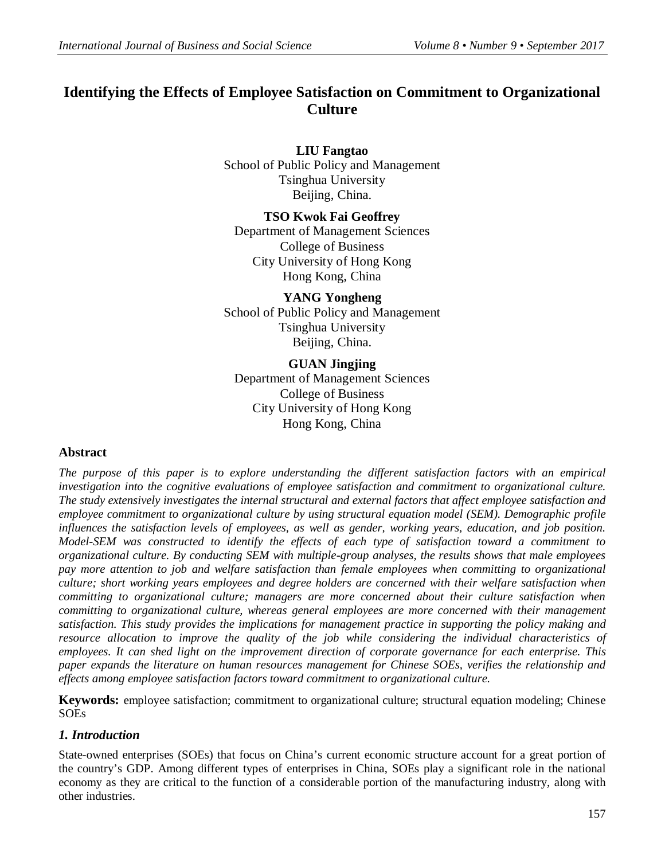# **Identifying the Effects of Employee Satisfaction on Commitment to Organizational Culture**

**LIU Fangtao** School of Public Policy and Management Tsinghua University Beijing, China.

**TSO Kwok Fai Geoffrey** Department of Management Sciences College of Business City University of Hong Kong Hong Kong, China

**YANG Yongheng** School of Public Policy and Management Tsinghua University Beijing, China.

## **GUAN Jingjing**

Department of Management Sciences College of Business City University of Hong Kong Hong Kong, China

## **Abstract**

*The purpose of this paper is to explore understanding the different satisfaction factors with an empirical investigation into the cognitive evaluations of employee satisfaction and commitment to organizational culture. The study extensively investigates the internal structural and external factors that affect employee satisfaction and employee commitment to organizational culture by using structural equation model (SEM). Demographic profile influences the satisfaction levels of employees, as well as gender, working years, education, and job position. Model-SEM was constructed to identify the effects of each type of satisfaction toward a commitment to organizational culture. By conducting SEM with multiple-group analyses, the results shows that male employees pay more attention to job and welfare satisfaction than female employees when committing to organizational culture; short working years employees and degree holders are concerned with their welfare satisfaction when committing to organizational culture; managers are more concerned about their culture satisfaction when committing to organizational culture, whereas general employees are more concerned with their management satisfaction. This study provides the implications for management practice in supporting the policy making and resource allocation to improve the quality of the job while considering the individual characteristics of employees. It can shed light on the improvement direction of corporate governance for each enterprise. This paper expands the literature on human resources management for Chinese SOEs, verifies the relationship and effects among employee satisfaction factors toward commitment to organizational culture.*

**Keywords:** employee satisfaction; commitment to organizational culture; structural equation modeling; Chinese SOEs

## *1. Introduction*

State-owned enterprises (SOEs) that focus on China's current economic structure account for a great portion of the country's GDP. Among different types of enterprises in China, SOEs play a significant role in the national economy as they are critical to the function of a considerable portion of the manufacturing industry, along with other industries.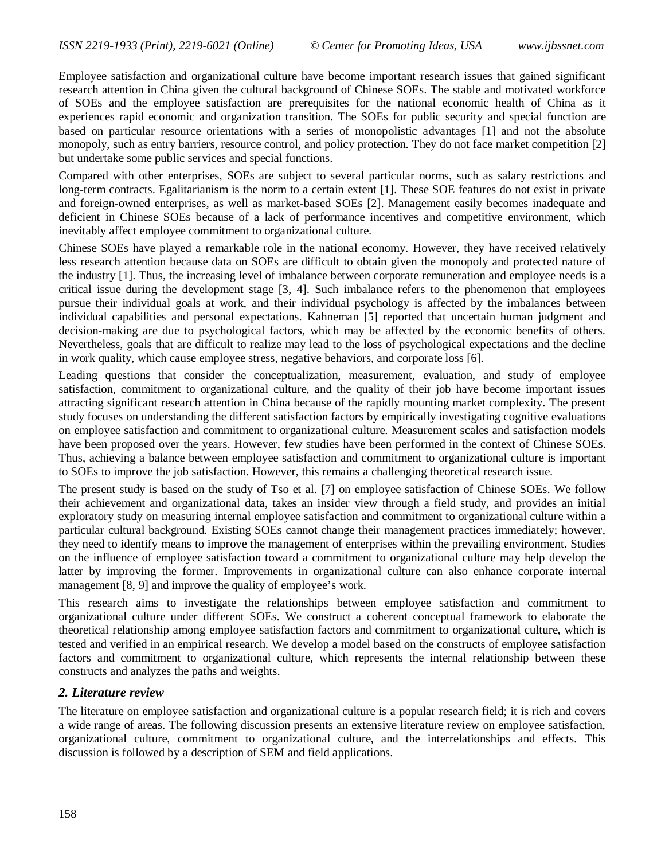Employee satisfaction and organizational culture have become important research issues that gained significant research attention in China given the cultural background of Chinese SOEs. The stable and motivated workforce of SOEs and the employee satisfaction are prerequisites for the national economic health of China as it experiences rapid economic and organization transition. The SOEs for public security and special function are based on particular resource orientations with a series of monopolistic advantages [1] and not the absolute monopoly, such as entry barriers, resource control, and policy protection. They do not face market competition [2] but undertake some public services and special functions.

Compared with other enterprises, SOEs are subject to several particular norms, such as salary restrictions and long-term contracts. Egalitarianism is the norm to a certain extent [1]. These SOE features do not exist in private and foreign-owned enterprises, as well as market-based SOEs [2]. Management easily becomes inadequate and deficient in Chinese SOEs because of a lack of performance incentives and competitive environment, which inevitably affect employee commitment to organizational culture.

Chinese SOEs have played a remarkable role in the national economy. However, they have received relatively less research attention because data on SOEs are difficult to obtain given the monopoly and protected nature of the industry [1]. Thus, the increasing level of imbalance between corporate remuneration and employee needs is a critical issue during the development stage [3, 4]. Such imbalance refers to the phenomenon that employees pursue their individual goals at work, and their individual psychology is affected by the imbalances between individual capabilities and personal expectations. Kahneman [5] reported that uncertain human judgment and decision-making are due to psychological factors, which may be affected by the economic benefits of others. Nevertheless, goals that are difficult to realize may lead to the loss of psychological expectations and the decline in work quality, which cause employee stress, negative behaviors, and corporate loss [6].

Leading questions that consider the conceptualization, measurement, evaluation, and study of employee satisfaction, commitment to organizational culture, and the quality of their job have become important issues attracting significant research attention in China because of the rapidly mounting market complexity. The present study focuses on understanding the different satisfaction factors by empirically investigating cognitive evaluations on employee satisfaction and commitment to organizational culture. Measurement scales and satisfaction models have been proposed over the years. However, few studies have been performed in the context of Chinese SOEs. Thus, achieving a balance between employee satisfaction and commitment to organizational culture is important to SOEs to improve the job satisfaction. However, this remains a challenging theoretical research issue.

The present study is based on the study of Tso et al. [7] on employee satisfaction of Chinese SOEs. We follow their achievement and organizational data, takes an insider view through a field study, and provides an initial exploratory study on measuring internal employee satisfaction and commitment to organizational culture within a particular cultural background. Existing SOEs cannot change their management practices immediately; however, they need to identify means to improve the management of enterprises within the prevailing environment. Studies on the influence of employee satisfaction toward a commitment to organizational culture may help develop the latter by improving the former. Improvements in organizational culture can also enhance corporate internal management [8, 9] and improve the quality of employee's work.

This research aims to investigate the relationships between employee satisfaction and commitment to organizational culture under different SOEs. We construct a coherent conceptual framework to elaborate the theoretical relationship among employee satisfaction factors and commitment to organizational culture, which is tested and verified in an empirical research. We develop a model based on the constructs of employee satisfaction factors and commitment to organizational culture, which represents the internal relationship between these constructs and analyzes the paths and weights.

## *2. Literature review*

The literature on employee satisfaction and organizational culture is a popular research field; it is rich and covers a wide range of areas. The following discussion presents an extensive literature review on employee satisfaction, organizational culture, commitment to organizational culture, and the interrelationships and effects. This discussion is followed by a description of SEM and field applications.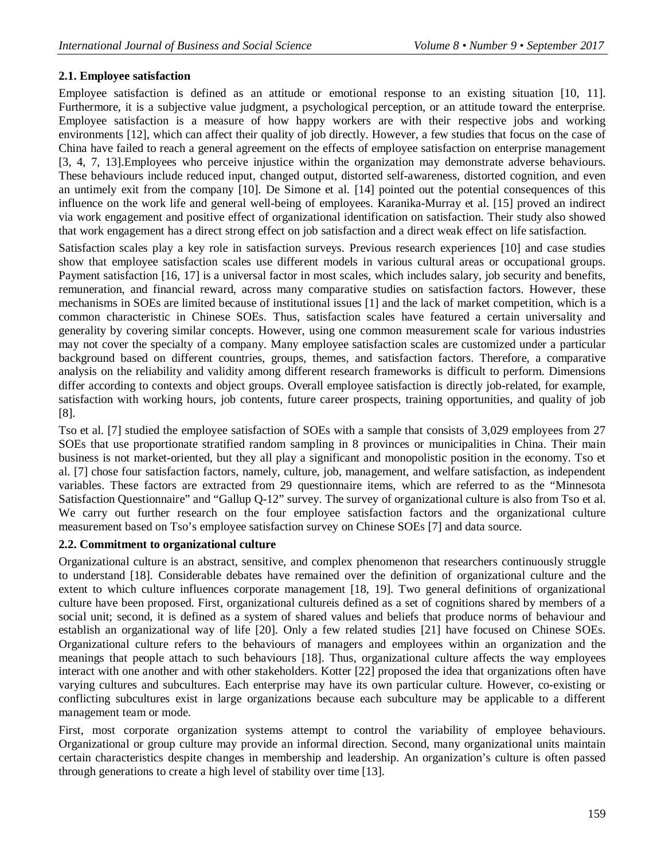## **2.1. Employee satisfaction**

Employee satisfaction is defined as an attitude or emotional response to an existing situation [10, 11]. Furthermore, it is a subjective value judgment, a psychological perception, or an attitude toward the enterprise. Employee satisfaction is a measure of how happy workers are with their respective jobs and working environments [12], which can affect their quality of job directly. However, a few studies that focus on the case of China have failed to reach a general agreement on the effects of employee satisfaction on enterprise management [3, 4, 7, 13].Employees who perceive injustice within the organization may demonstrate adverse behaviours. These behaviours include reduced input, changed output, distorted self-awareness, distorted cognition, and even an untimely exit from the company [10]. De Simone et al. [14] pointed out the potential consequences of this influence on the work life and general well-being of employees. Karanika-Murray et al. [15] proved an indirect via work engagement and positive effect of organizational identification on satisfaction. Their study also showed that work engagement has a direct strong effect on job satisfaction and a direct weak effect on life satisfaction.

Satisfaction scales play a key role in satisfaction surveys. Previous research experiences [10] and case studies show that employee satisfaction scales use different models in various cultural areas or occupational groups. Payment satisfaction [16, 17] is a universal factor in most scales, which includes salary, job security and benefits, remuneration, and financial reward, across many comparative studies on satisfaction factors. However, these mechanisms in SOEs are limited because of institutional issues [1] and the lack of market competition, which is a common characteristic in Chinese SOEs. Thus, satisfaction scales have featured a certain universality and generality by covering similar concepts. However, using one common measurement scale for various industries may not cover the specialty of a company. Many employee satisfaction scales are customized under a particular background based on different countries, groups, themes, and satisfaction factors. Therefore, a comparative analysis on the reliability and validity among different research frameworks is difficult to perform. Dimensions differ according to contexts and object groups. Overall employee satisfaction is directly job-related, for example, satisfaction with working hours, job contents, future career prospects, training opportunities, and quality of job [8].

Tso et al. [7] studied the employee satisfaction of SOEs with a sample that consists of 3,029 employees from 27 SOEs that use proportionate stratified random sampling in 8 provinces or municipalities in China. Their main business is not market-oriented, but they all play a significant and monopolistic position in the economy. Tso et al. [7] chose four satisfaction factors, namely, culture, job, management, and welfare satisfaction, as independent variables. These factors are extracted from 29 questionnaire items, which are referred to as the "Minnesota Satisfaction Questionnaire" and "Gallup Q-12" survey. The survey of organizational culture is also from Tso et al. We carry out further research on the four employee satisfaction factors and the organizational culture measurement based on Tso's employee satisfaction survey on Chinese SOEs [7] and data source.

## **2.2. Commitment to organizational culture**

Organizational culture is an abstract, sensitive, and complex phenomenon that researchers continuously struggle to understand [18]. Considerable debates have remained over the definition of organizational culture and the extent to which culture influences corporate management [18, 19]. Two general definitions of organizational culture have been proposed. First, organizational cultureis defined as a set of cognitions shared by members of a social unit; second, it is defined as a system of shared values and beliefs that produce norms of behaviour and establish an organizational way of life [20]. Only a few related studies [21] have focused on Chinese SOEs. Organizational culture refers to the behaviours of managers and employees within an organization and the meanings that people attach to such behaviours [18]. Thus, organizational culture affects the way employees interact with one another and with other stakeholders. Kotter [22] proposed the idea that organizations often have varying cultures and subcultures. Each enterprise may have its own particular culture. However, co-existing or conflicting subcultures exist in large organizations because each subculture may be applicable to a different management team or mode.

First, most corporate organization systems attempt to control the variability of employee behaviours. Organizational or group culture may provide an informal direction. Second, many organizational units maintain certain characteristics despite changes in membership and leadership. An organization's culture is often passed through generations to create a high level of stability over time [13].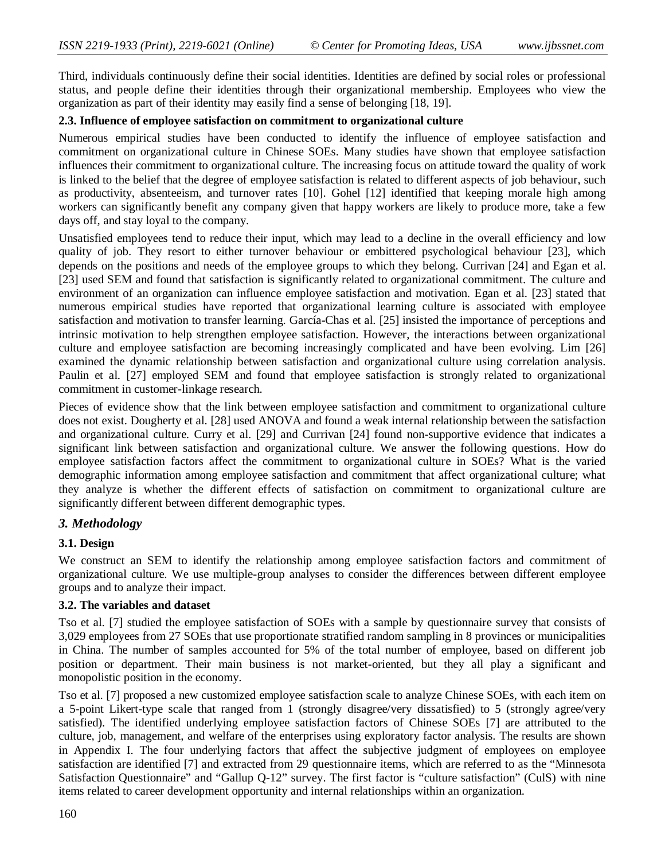Third, individuals continuously define their social identities. Identities are defined by social roles or professional status, and people define their identities through their organizational membership. Employees who view the organization as part of their identity may easily find a sense of belonging [18, 19].

#### **2.3. Influence of employee satisfaction on commitment to organizational culture**

Numerous empirical studies have been conducted to identify the influence of employee satisfaction and commitment on organizational culture in Chinese SOEs. Many studies have shown that employee satisfaction influences their commitment to organizational culture. The increasing focus on attitude toward the quality of work is linked to the belief that the degree of employee satisfaction is related to different aspects of job behaviour, such as productivity, absenteeism, and turnover rates [10]. Gohel [12] identified that keeping morale high among workers can significantly benefit any company given that happy workers are likely to produce more, take a few days off, and stay loyal to the company.

Unsatisfied employees tend to reduce their input, which may lead to a decline in the overall efficiency and low quality of job. They resort to either turnover behaviour or embittered psychological behaviour [23], which depends on the positions and needs of the employee groups to which they belong. Currivan [24] and Egan et al. [23] used SEM and found that satisfaction is significantly related to organizational commitment. The culture and environment of an organization can influence employee satisfaction and motivation. Egan et al. [23] stated that numerous empirical studies have reported that organizational learning culture is associated with employee satisfaction and motivation to transfer learning. García-Chas et al. [25] insisted the importance of perceptions and intrinsic motivation to help strengthen employee satisfaction. However, the interactions between organizational culture and employee satisfaction are becoming increasingly complicated and have been evolving. Lim [26] examined the dynamic relationship between satisfaction and organizational culture using correlation analysis. Paulin et al. [27] employed SEM and found that employee satisfaction is strongly related to organizational commitment in customer-linkage research.

Pieces of evidence show that the link between employee satisfaction and commitment to organizational culture does not exist. Dougherty et al. [28] used ANOVA and found a weak internal relationship between the satisfaction and organizational culture. Curry et al. [29] and Currivan [24] found non-supportive evidence that indicates a significant link between satisfaction and organizational culture. We answer the following questions. How do employee satisfaction factors affect the commitment to organizational culture in SOEs? What is the varied demographic information among employee satisfaction and commitment that affect organizational culture; what they analyze is whether the different effects of satisfaction on commitment to organizational culture are significantly different between different demographic types.

## *3. Methodology*

## **3.1. Design**

We construct an SEM to identify the relationship among employee satisfaction factors and commitment of organizational culture. We use multiple-group analyses to consider the differences between different employee groups and to analyze their impact.

#### **3.2. The variables and dataset**

Tso et al. [7] studied the employee satisfaction of SOEs with a sample by questionnaire survey that consists of 3,029 employees from 27 SOEs that use proportionate stratified random sampling in 8 provinces or municipalities in China. The number of samples accounted for 5% of the total number of employee, based on different job position or department. Their main business is not market-oriented, but they all play a significant and monopolistic position in the economy.

Tso et al. [7] proposed a new customized employee satisfaction scale to analyze Chinese SOEs, with each item on a 5-point Likert-type scale that ranged from 1 (strongly disagree/very dissatisfied) to 5 (strongly agree/very satisfied). The identified underlying employee satisfaction factors of Chinese SOEs [7] are attributed to the culture, job, management, and welfare of the enterprises using exploratory factor analysis. The results are shown in Appendix I. The four underlying factors that affect the subjective judgment of employees on employee satisfaction are identified [7] and extracted from 29 questionnaire items, which are referred to as the "Minnesota Satisfaction Questionnaire" and "Gallup Q-12" survey. The first factor is "culture satisfaction" (CulS) with nine items related to career development opportunity and internal relationships within an organization.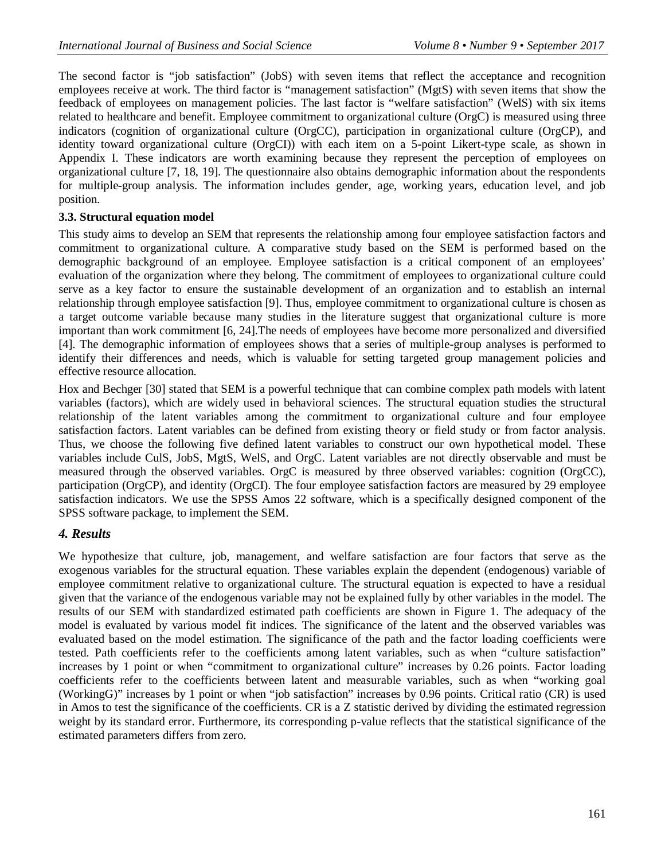The second factor is "job satisfaction" (JobS) with seven items that reflect the acceptance and recognition employees receive at work. The third factor is "management satisfaction" (MgtS) with seven items that show the feedback of employees on management policies. The last factor is "welfare satisfaction" (WelS) with six items related to healthcare and benefit. Employee commitment to organizational culture (OrgC) is measured using three indicators (cognition of organizational culture (OrgCC), participation in organizational culture (OrgCP), and identity toward organizational culture (OrgCI)) with each item on a 5-point Likert-type scale, as shown in Appendix I. These indicators are worth examining because they represent the perception of employees on organizational culture [7, 18, 19]. The questionnaire also obtains demographic information about the respondents for multiple-group analysis. The information includes gender, age, working years, education level, and job position.

#### **3.3. Structural equation model**

This study aims to develop an SEM that represents the relationship among four employee satisfaction factors and commitment to organizational culture. A comparative study based on the SEM is performed based on the demographic background of an employee. Employee satisfaction is a critical component of an employees' evaluation of the organization where they belong. The commitment of employees to organizational culture could serve as a key factor to ensure the sustainable development of an organization and to establish an internal relationship through employee satisfaction [9]. Thus, employee commitment to organizational culture is chosen as a target outcome variable because many studies in the literature suggest that organizational culture is more important than work commitment [6, 24].The needs of employees have become more personalized and diversified [4]. The demographic information of employees shows that a series of multiple-group analyses is performed to identify their differences and needs, which is valuable for setting targeted group management policies and effective resource allocation.

Hox and Bechger [30] stated that SEM is a powerful technique that can combine complex path models with latent variables (factors), which are widely used in behavioral sciences. The structural equation studies the structural relationship of the latent variables among the commitment to organizational culture and four employee satisfaction factors. Latent variables can be defined from existing theory or field study or from factor analysis. Thus, we choose the following five defined latent variables to construct our own hypothetical model. These variables include CulS, JobS, MgtS, WelS, and OrgC. Latent variables are not directly observable and must be measured through the observed variables. OrgC is measured by three observed variables: cognition (OrgCC), participation (OrgCP), and identity (OrgCI). The four employee satisfaction factors are measured by 29 employee satisfaction indicators. We use the SPSS Amos 22 software, which is a specifically designed component of the SPSS software package, to implement the SEM.

## *4. Results*

We hypothesize that culture, job, management, and welfare satisfaction are four factors that serve as the exogenous variables for the structural equation. These variables explain the dependent (endogenous) variable of employee commitment relative to organizational culture. The structural equation is expected to have a residual given that the variance of the endogenous variable may not be explained fully by other variables in the model. The results of our SEM with standardized estimated path coefficients are shown in Figure 1. The adequacy of the model is evaluated by various model fit indices. The significance of the latent and the observed variables was evaluated based on the model estimation. The significance of the path and the factor loading coefficients were tested. Path coefficients refer to the coefficients among latent variables, such as when "culture satisfaction" increases by 1 point or when "commitment to organizational culture" increases by 0.26 points. Factor loading coefficients refer to the coefficients between latent and measurable variables, such as when "working goal (WorkingG)" increases by 1 point or when "job satisfaction" increases by 0.96 points. Critical ratio (CR) is used in Amos to test the significance of the coefficients. CR is a Z statistic derived by dividing the estimated regression weight by its standard error. Furthermore, its corresponding p-value reflects that the statistical significance of the estimated parameters differs from zero.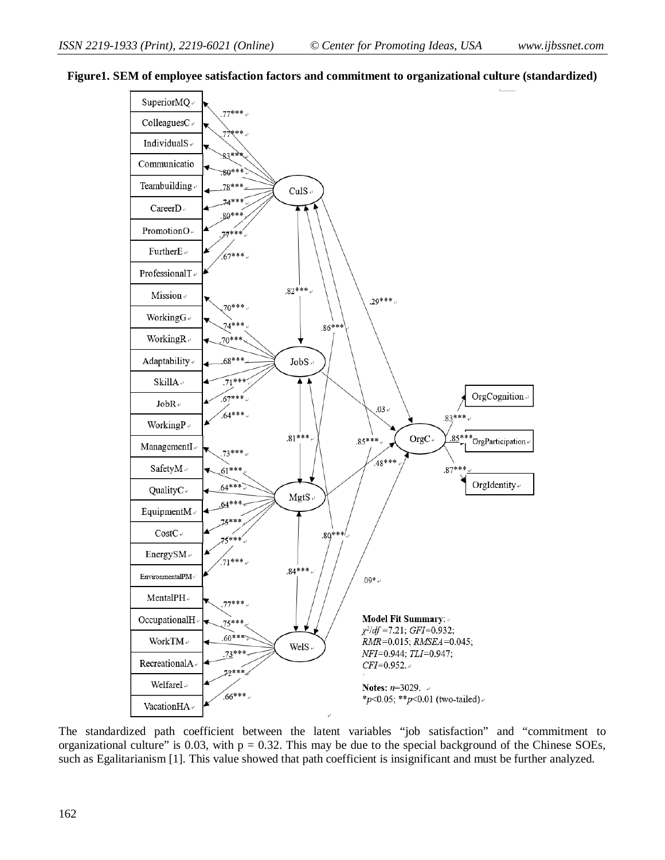

#### **Figure1. SEM of employee satisfaction factors and commitment to organizational culture (standardized)**

The standardized path coefficient between the latent variables "job satisfaction" and "commitment to organizational culture" is 0.03, with  $p = 0.32$ . This may be due to the special background of the Chinese SOEs, such as Egalitarianism [1]. This value showed that path coefficient is insignificant and must be further analyzed.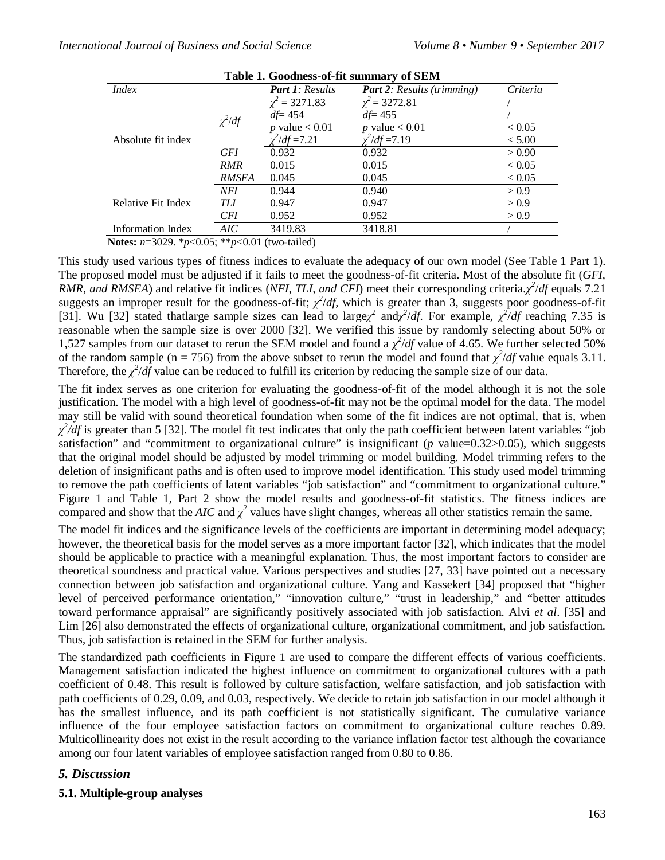| Table 1. Goodness-of-fit summary of SEM |             |                        |                                   |            |  |  |  |  |
|-----------------------------------------|-------------|------------------------|-----------------------------------|------------|--|--|--|--|
| <i>Index</i>                            |             | <b>Part 1: Results</b> | <b>Part 2:</b> Results (trimming) | Criteria   |  |  |  |  |
|                                         |             | $\chi^2 = 3271.83$     | $\chi^2$ = 3272.81                |            |  |  |  |  |
|                                         | $\chi^2/df$ | $df = 454$             | $df = 455$                        |            |  |  |  |  |
|                                         |             | p value $< 0.01$       | p value $< 0.01$                  | ${}< 0.05$ |  |  |  |  |
| Absolute fit index                      |             | $\chi^2/df = 7.21$     | $\chi^2/df = 7.19$                | < 5.00     |  |  |  |  |
|                                         | <b>GFI</b>  | 0.932                  | 0.932                             | > 0.90     |  |  |  |  |
|                                         | <b>RMR</b>  | 0.015                  | 0.015                             | < 0.05     |  |  |  |  |
|                                         | RMSEA       | 0.045                  | 0.045                             | ${}< 0.05$ |  |  |  |  |
|                                         | <b>NFI</b>  | 0.944                  | 0.940                             | > 0.9      |  |  |  |  |
| Relative Fit Index                      | TIJ         | 0.947                  | 0.947                             | > 0.9      |  |  |  |  |
|                                         | <b>CFI</b>  | 0.952                  | 0.952                             | > 0.9      |  |  |  |  |
| Information Index                       | AIC         | 3419.83                | 3418.81                           |            |  |  |  |  |

 **Notes:** *n*=3029. \**p*<0.05; \*\**p*<0.01 (two-tailed)

This study used various types of fitness indices to evaluate the adequacy of our own model (See Table 1 Part 1). The proposed model must be adjusted if it fails to meet the goodness-of-fit criteria. Most of the absolute fit (*GFI, RMR, and RMSEA*) and relative fit indices (*NFI, TLI, and CFI*) meet their corresponding criteria.*χ 2* /*df* equals 7.21 suggests an improper result for the goodness-of-fit;  $\chi^2/df$ , which is greater than 3, suggests poor goodness-of-fit [31]. Wu [32] stated thatlarge sample sizes can lead to large $\chi^2$  and  $\chi^2/df$ . For example,  $\chi^2/df$  reaching 7.35 is reasonable when the sample size is over 2000 [32]. We verified this issue by randomly selecting about 50% or 1,527 samples from our dataset to rerun the SEM model and found a  $\chi^2/df$  value of 4.65. We further selected 50% of the random sample (n = 756) from the above subset to rerun the model and found that  $\chi^2/df$  value equals 3.11. Therefore, the  $\chi^2/df$  value can be reduced to fulfill its criterion by reducing the sample size of our data.

The fit index serves as one criterion for evaluating the goodness-of-fit of the model although it is not the sole justification. The model with a high level of goodness-of-fit may not be the optimal model for the data. The model may still be valid with sound theoretical foundation when some of the fit indices are not optimal, that is, when  $\chi^2/df$  is greater than 5 [32]. The model fit test indicates that only the path coefficient between latent variables "job satisfaction" and "commitment to organizational culture" is insignificant ( $p$  value=0.32 $>0.05$ ), which suggests that the original model should be adjusted by model trimming or model building. Model trimming refers to the deletion of insignificant paths and is often used to improve model identification. This study used model trimming to remove the path coefficients of latent variables "job satisfaction" and "commitment to organizational culture." Figure 1 and Table 1, Part 2 show the model results and goodness-of-fit statistics. The fitness indices are compared and show that the *AIC* and  $\chi^2$  values have slight changes, whereas all other statistics remain the same.

The model fit indices and the significance levels of the coefficients are important in determining model adequacy; however, the theoretical basis for the model serves as a more important factor [32], which indicates that the model should be applicable to practice with a meaningful explanation. Thus, the most important factors to consider are theoretical soundness and practical value. Various perspectives and studies [27, 33] have pointed out a necessary connection between job satisfaction and organizational culture. Yang and Kassekert [34] proposed that "higher level of perceived performance orientation," "innovation culture," "trust in leadership," and "better attitudes toward performance appraisal" are significantly positively associated with job satisfaction. Alvi *et al*. [35] and Lim [26] also demonstrated the effects of organizational culture, organizational commitment, and job satisfaction. Thus, job satisfaction is retained in the SEM for further analysis.

The standardized path coefficients in Figure 1 are used to compare the different effects of various coefficients. Management satisfaction indicated the highest influence on commitment to organizational cultures with a path coefficient of 0.48. This result is followed by culture satisfaction, welfare satisfaction, and job satisfaction with path coefficients of 0.29, 0.09, and 0.03, respectively. We decide to retain job satisfaction in our model although it has the smallest influence, and its path coefficient is not statistically significant. The cumulative variance influence of the four employee satisfaction factors on commitment to organizational culture reaches 0.89. Multicollinearity does not exist in the result according to the variance inflation factor test although the covariance among our four latent variables of employee satisfaction ranged from 0.80 to 0.86.

## *5. Discussion*

**5.1. Multiple-group analyses**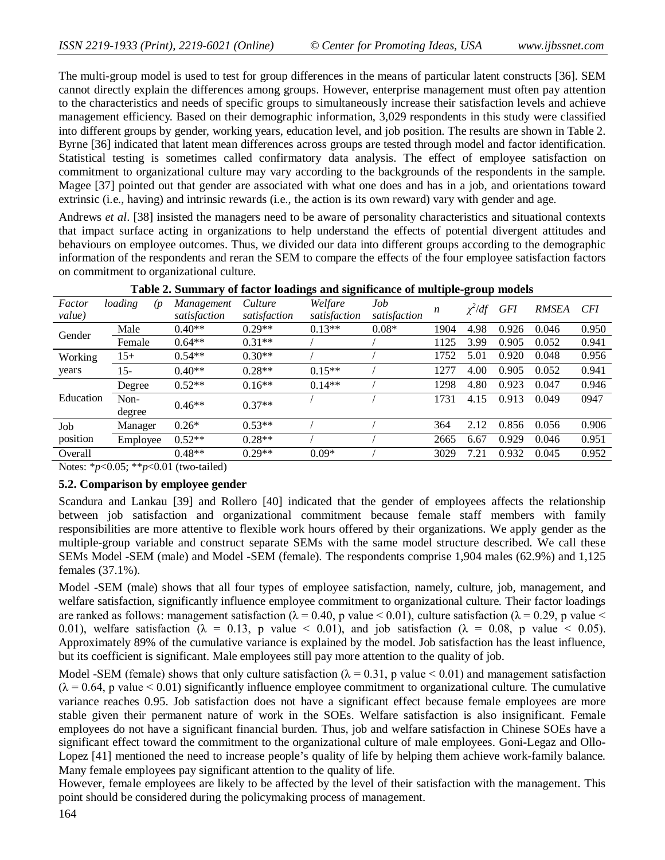The multi-group model is used to test for group differences in the means of particular latent constructs [36]. SEM cannot directly explain the differences among groups. However, enterprise management must often pay attention to the characteristics and needs of specific groups to simultaneously increase their satisfaction levels and achieve management efficiency. Based on their demographic information, 3,029 respondents in this study were classified into different groups by gender, working years, education level, and job position. The results are shown in Table 2. Byrne [36] indicated that latent mean differences across groups are tested through model and factor identification. Statistical testing is sometimes called confirmatory data analysis. The effect of employee satisfaction on commitment to organizational culture may vary according to the backgrounds of the respondents in the sample. Magee [37] pointed out that gender are associated with what one does and has in a job, and orientations toward extrinsic (i.e., having) and intrinsic rewards (i.e., the action is its own reward) vary with gender and age.

Andrews *et al*. [38] insisted the managers need to be aware of personality characteristics and situational contexts that impact surface acting in organizations to help understand the effects of potential divergent attitudes and behaviours on employee outcomes. Thus, we divided our data into different groups according to the demographic information of the respondents and reran the SEM to compare the effects of the four employee satisfaction factors on commitment to organizational culture.

|                  |                              | $\overline{ }$             |                         | o<br>-                  |                     |                  | o           |            |              |            |
|------------------|------------------------------|----------------------------|-------------------------|-------------------------|---------------------|------------------|-------------|------------|--------------|------------|
| Factor<br>value) | loading<br>(p <sub>1</sub> ) | Management<br>satisfaction | Culture<br>satisfaction | Welfare<br>satisfaction | Job<br>satisfaction | $\boldsymbol{n}$ | $\chi^2/df$ | <b>GFI</b> | <b>RMSEA</b> | <b>CFI</b> |
|                  | Male                         | $0.40**$                   | $0.29**$                | $0.13**$                | $0.08*$             | 1904             | 4.98        | 0.926      | 0.046        | 0.950      |
| Gender           | Female                       | $0.64**$                   | $0.31**$                |                         |                     | 1125             | 3.99        | 0.905      | 0.052        | 0.941      |
| Working          | $15+$                        | $0.54**$                   | $0.30**$                |                         |                     | 1752             | 5.01        | 0.920      | 0.048        | 0.956      |
| years            | $15 -$                       | $0.40**$                   | $0.28**$                | $0.15**$                |                     | 1277             | 4.00        | 0.905      | 0.052        | 0.941      |
|                  | Degree                       | $0.52**$                   | $0.16**$                | $0.14**$                |                     | 1298             | 4.80        | 0.923      | 0.047        | 0.946      |
| Education        | Non-<br>degree               | $0.46**$                   | $0.37**$                |                         |                     | 1731             | 4.15        | 0.913      | 0.049        | 0947       |
| Job              | Manager                      | $0.26*$                    | $0.53**$                |                         |                     | 364              | 2.12        | 0.856      | 0.056        | 0.906      |
| position         | Employee                     | $0.52**$                   | $0.28**$                |                         |                     | 2665             | 6.67        | 0.929      | 0.046        | 0.951      |
| Overall          |                              | $0.48**$                   | $0.29**$                | $0.09*$                 |                     | 3029             | 7.21        | 0.932      | 0.045        | 0.952      |
|                  |                              |                            |                         |                         |                     |                  |             |            |              |            |

|  |  | Table 2. Summary of factor loadings and significance of multiple-group models |  |
|--|--|-------------------------------------------------------------------------------|--|
|  |  |                                                                               |  |

Notes: \**p*<0.05; \*\**p*<0.01 (two-tailed)

#### **5.2. Comparison by employee gender**

Scandura and Lankau [39] and Rollero [40] indicated that the gender of employees affects the relationship between job satisfaction and organizational commitment because female staff members with family responsibilities are more attentive to flexible work hours offered by their organizations. We apply gender as the multiple-group variable and construct separate SEMs with the same model structure described. We call these SEMs Model -SEM (male) and Model -SEM (female). The respondents comprise 1,904 males (62.9%) and 1,125 females (37.1%).

Model -SEM (male) shows that all four types of employee satisfaction, namely, culture, job, management, and welfare satisfaction, significantly influence employee commitment to organizational culture. Their factor loadings are ranked as follows: management satisfaction ( $\lambda = 0.40$ , p value < 0.01), culture satisfaction ( $\lambda = 0.29$ , p value < 0.01), welfare satisfaction ( $\lambda = 0.13$ , p value < 0.01), and job satisfaction ( $\lambda = 0.08$ , p value < 0.05). Approximately 89% of the cumulative variance is explained by the model. Job satisfaction has the least influence, but its coefficient is significant. Male employees still pay more attention to the quality of job.

Model -SEM (female) shows that only culture satisfaction ( $\lambda = 0.31$ , p value < 0.01) and management satisfaction  $(\lambda = 0.64, p$  value < 0.01) significantly influence employee commitment to organizational culture. The cumulative variance reaches 0.95. Job satisfaction does not have a significant effect because female employees are more stable given their permanent nature of work in the SOEs. Welfare satisfaction is also insignificant. Female employees do not have a significant financial burden. Thus, job and welfare satisfaction in Chinese SOEs have a significant effect toward the commitment to the organizational culture of male employees. Goni-Legaz and Ollo-Lopez [41] mentioned the need to increase people's quality of life by helping them achieve work-family balance. Many female employees pay significant attention to the quality of life.

However, female employees are likely to be affected by the level of their satisfaction with the management. This point should be considered during the policymaking process of management.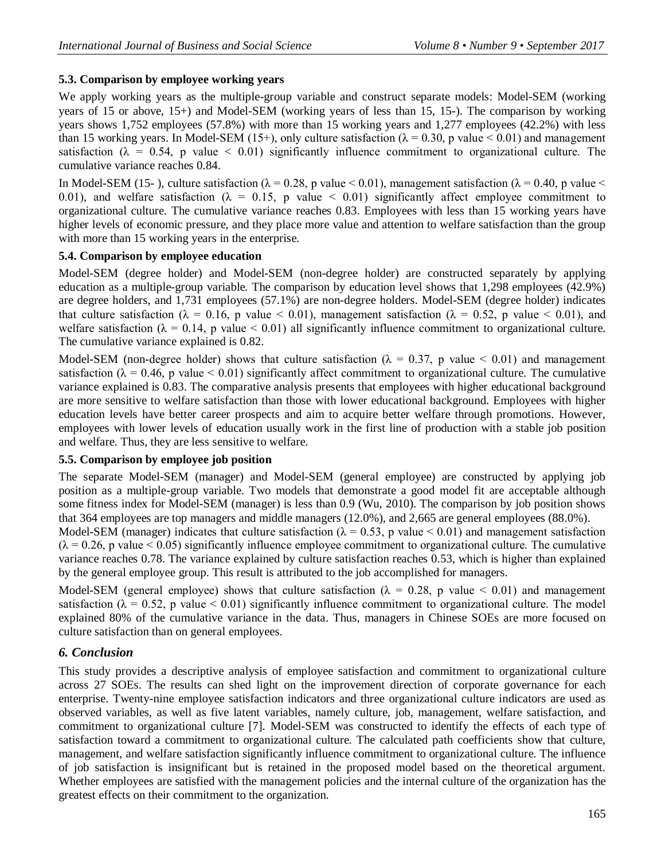## **5.3. Comparison by employee working years**

We apply working years as the multiple-group variable and construct separate models: Model-SEM (working years of 15 or above, 15+) and Model-SEM (working years of less than 15, 15-). The comparison by working years shows 1,752 employees (57.8%) with more than 15 working years and 1,277 employees (42.2%) with less than 15 working years. In Model-SEM (15+), only culture satisfaction ( $\lambda = 0.30$ , p value < 0.01) and management satisfaction ( $\lambda = 0.54$ , p value < 0.01) significantly influence commitment to organizational culture. The cumulative variance reaches 0.84.

In Model-SEM (15-), culture satisfaction ( $\lambda = 0.28$ , p value < 0.01), management satisfaction ( $\lambda = 0.40$ , p value < 0.01), and welfare satisfaction ( $\lambda = 0.15$ , p value < 0.01) significantly affect employee commitment to organizational culture. The cumulative variance reaches 0.83. Employees with less than 15 working years have higher levels of economic pressure, and they place more value and attention to welfare satisfaction than the group with more than 15 working years in the enterprise.

## **5.4. Comparison by employee education**

Model-SEM (degree holder) and Model-SEM (non-degree holder) are constructed separately by applying education as a multiple-group variable. The comparison by education level shows that 1,298 employees (42.9%) are degree holders, and 1,731 employees (57.1%) are non-degree holders. Model-SEM (degree holder) indicates that culture satisfaction ( $\lambda = 0.16$ , p value < 0.01), management satisfaction ( $\lambda = 0.52$ , p value < 0.01), and welfare satisfaction ( $\lambda = 0.14$ , p value < 0.01) all significantly influence commitment to organizational culture. The cumulative variance explained is 0.82.

Model-SEM (non-degree holder) shows that culture satisfaction ( $\lambda = 0.37$ , p value  $\lt 0.01$ ) and management satisfaction ( $\lambda = 0.46$ , p value < 0.01) significantly affect commitment to organizational culture. The cumulative variance explained is 0.83. The comparative analysis presents that employees with higher educational background are more sensitive to welfare satisfaction than those with lower educational background. Employees with higher education levels have better career prospects and aim to acquire better welfare through promotions. However, employees with lower levels of education usually work in the first line of production with a stable job position and welfare. Thus, they are less sensitive to welfare.

## **5.5. Comparison by employee job position**

The separate Model-SEM (manager) and Model-SEM (general employee) are constructed by applying job position as a multiple-group variable. Two models that demonstrate a good model fit are acceptable although some fitness index for Model-SEM (manager) is less than 0.9 (Wu, 2010). The comparison by job position shows that 364 employees are top managers and middle managers (12.0%), and 2,665 are general employees (88.0%).

Model-SEM (manager) indicates that culture satisfaction ( $\lambda = 0.53$ , p value < 0.01) and management satisfaction  $(\lambda = 0.26$ , p value < 0.05) significantly influence employee commitment to organizational culture. The cumulative variance reaches 0.78. The variance explained by culture satisfaction reaches 0.53, which is higher than explained by the general employee group. This result is attributed to the job accomplished for managers.

Model-SEM (general employee) shows that culture satisfaction ( $\lambda = 0.28$ , p value < 0.01) and management satisfaction ( $\lambda = 0.52$ , p value < 0.01) significantly influence commitment to organizational culture. The model explained 80% of the cumulative variance in the data. Thus, managers in Chinese SOEs are more focused on culture satisfaction than on general employees.

## *6. Conclusion*

This study provides a descriptive analysis of employee satisfaction and commitment to organizational culture across 27 SOEs. The results can shed light on the improvement direction of corporate governance for each enterprise. Twenty-nine employee satisfaction indicators and three organizational culture indicators are used as observed variables, as well as five latent variables, namely culture, job, management, welfare satisfaction, and commitment to organizational culture [7]. Model-SEM was constructed to identify the effects of each type of satisfaction toward a commitment to organizational culture. The calculated path coefficients show that culture, management, and welfare satisfaction significantly influence commitment to organizational culture. The influence of job satisfaction is insignificant but is retained in the proposed model based on the theoretical argument. Whether employees are satisfied with the management policies and the internal culture of the organization has the greatest effects on their commitment to the organization.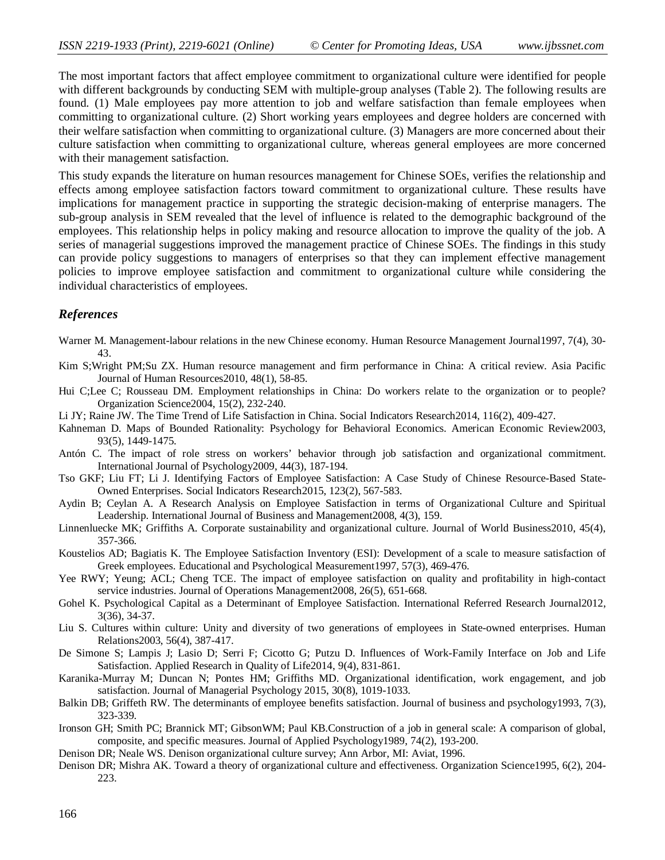The most important factors that affect employee commitment to organizational culture were identified for people with different backgrounds by conducting SEM with multiple-group analyses (Table 2). The following results are found. (1) Male employees pay more attention to job and welfare satisfaction than female employees when committing to organizational culture. (2) Short working years employees and degree holders are concerned with their welfare satisfaction when committing to organizational culture. (3) Managers are more concerned about their culture satisfaction when committing to organizational culture, whereas general employees are more concerned with their management satisfaction.

This study expands the literature on human resources management for Chinese SOEs, verifies the relationship and effects among employee satisfaction factors toward commitment to organizational culture. These results have implications for management practice in supporting the strategic decision-making of enterprise managers. The sub-group analysis in SEM revealed that the level of influence is related to the demographic background of the employees. This relationship helps in policy making and resource allocation to improve the quality of the job. A series of managerial suggestions improved the management practice of Chinese SOEs. The findings in this study can provide policy suggestions to managers of enterprises so that they can implement effective management policies to improve employee satisfaction and commitment to organizational culture while considering the individual characteristics of employees.

#### *References*

- Warner M. Management-labour relations in the new Chinese economy. Human Resource Management Journal1997, 7(4), 30- 43.
- Kim S;Wright PM;Su ZX. Human resource management and firm performance in China: A critical review. Asia Pacific Journal of Human Resources2010, 48(1), 58-85.
- Hui C;Lee C; Rousseau DM. Employment relationships in China: Do workers relate to the organization or to people? Organization Science2004, 15(2), 232-240.
- Li JY; Raine JW. The Time Trend of Life Satisfaction in China. Social Indicators Research2014, 116(2), 409-427.
- Kahneman D. Maps of Bounded Rationality: Psychology for Behavioral Economics. American Economic Review2003, 93(5), 1449-1475.
- Antón C. The impact of role stress on workers' behavior through job satisfaction and organizational commitment. International Journal of Psychology2009, 44(3), 187-194.
- Tso GKF; Liu FT; Li J. Identifying Factors of Employee Satisfaction: A Case Study of Chinese Resource-Based State-Owned Enterprises. Social Indicators Research2015, 123(2), 567-583.
- Aydin B; Ceylan A. A Research Analysis on Employee Satisfaction in terms of Organizational Culture and Spiritual Leadership. International Journal of Business and Management2008, 4(3), 159.
- Linnenluecke MK; Griffiths A. Corporate sustainability and organizational culture. Journal of World Business2010, 45(4), 357-366.
- Koustelios AD; Bagiatis K. The Employee Satisfaction Inventory (ESI): Development of a scale to measure satisfaction of Greek employees. Educational and Psychological Measurement1997, 57(3), 469-476.
- Yee RWY; Yeung; ACL; Cheng TCE. The impact of employee satisfaction on quality and profitability in high-contact service industries. Journal of Operations Management2008, 26(5), 651-668.
- Gohel K. Psychological Capital as a Determinant of Employee Satisfaction. International Referred Research Journal2012, 3(36), 34-37.
- Liu S. Cultures within culture: Unity and diversity of two generations of employees in State-owned enterprises. Human Relations2003, 56(4), 387-417.
- De Simone S; Lampis J; Lasio D; Serri F; Cicotto G; Putzu D. Influences of Work-Family Interface on Job and Life Satisfaction. Applied Research in Quality of Life2014, 9(4), 831-861.
- Karanika-Murray M; Duncan N; Pontes HM; Griffiths MD. Organizational identification, work engagement, and job satisfaction. Journal of Managerial Psychology 2015, 30(8), 1019-1033.
- Balkin DB; Griffeth RW. The determinants of employee benefits satisfaction. Journal of business and psychology1993, 7(3), 323-339.
- Ironson GH; Smith PC; Brannick MT; GibsonWM; Paul KB.Construction of a job in general scale: A comparison of global, composite, and specific measures. Journal of Applied Psychology1989, 74(2), 193-200.
- Denison DR; Neale WS. Denison organizational culture survey; Ann Arbor, MI: Aviat, 1996.
- Denison DR; Mishra AK. Toward a theory of organizational culture and effectiveness. Organization Science1995, 6(2), 204- 223.